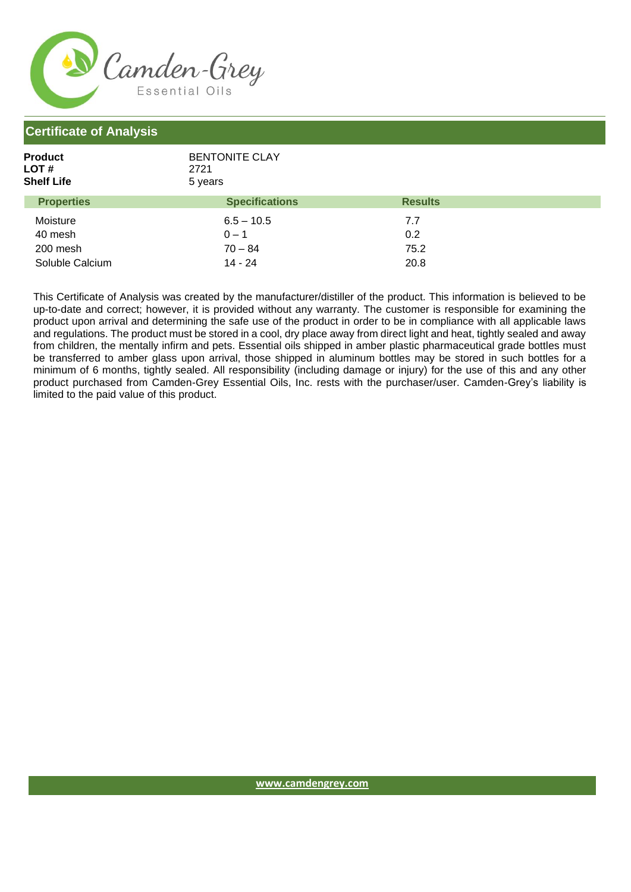

## **Certificate of Analysis**

| <b>Product</b><br>LOT #<br><b>Shelf Life</b> | <b>BENTONITE CLAY</b><br>2721<br>5 years |                |  |
|----------------------------------------------|------------------------------------------|----------------|--|
| <b>Properties</b>                            | <b>Specifications</b>                    | <b>Results</b> |  |
| Moisture                                     | $6.5 - 10.5$                             | 7.7            |  |
| 40 mesh                                      | $0 - 1$                                  | 0.2            |  |
| 200 mesh                                     | $70 - 84$                                | 75.2           |  |
| Soluble Calcium                              | 14 - 24                                  | 20.8           |  |

This Certificate of Analysis was created by the manufacturer/distiller of the product. This information is believed to be up-to-date and correct; however, it is provided without any warranty. The customer is responsible for examining the product upon arrival and determining the safe use of the product in order to be in compliance with all applicable laws and regulations. The product must be stored in a cool, dry place away from direct light and heat, tightly sealed and away from children, the mentally infirm and pets. Essential oils shipped in amber plastic pharmaceutical grade bottles must be transferred to amber glass upon arrival, those shipped in aluminum bottles may be stored in such bottles for a minimum of 6 months, tightly sealed. All responsibility (including damage or injury) for the use of this and any other product purchased from Camden-Grey Essential Oils, Inc. rests with the purchaser/user. Camden-Grey's liability is limited to the paid value of this product.